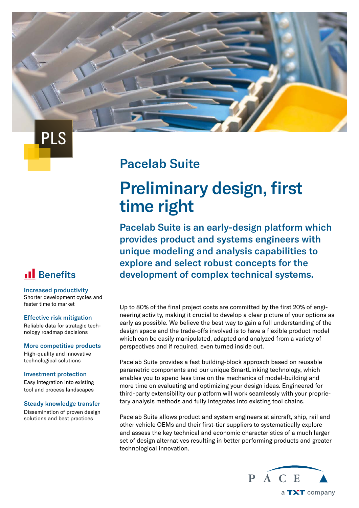### Pacelab Suite

# Preliminary design, first time right

Pacelab Suite is an early-design platform which provides product and systems engineers with unique modeling and analysis capabilities to explore and select robust concepts for the development of complex technical systems.

Up to 80% of the final project costs are committed by the first 20% of engineering activity, making it crucial to develop a clear picture of your options as early as possible. We believe the best way to gain a full understanding of the design space and the trade-offs involved is to have a flexible product model which can be easily manipulated, adapted and analyzed from a variety of perspectives and if required, even turned inside out.

Pacelab Suite provides a fast building-block approach based on reusable parametric components and our unique SmartLinking technology, which enables you to spend less time on the mechanics of model-building and more time on evaluating and optimizing your design ideas. Engineered for third-party extensibility our platform will work seamlessly with your proprietary analysis methods and fully integrates into existing tool chains.

Pacelab Suite allows product and system engineers at aircraft, ship, rail and other vehicle OEMs and their first-tier suppliers to systematically explore and assess the key technical and economic characteristics of a much larger set of design alternatives resulting in better performing products and greater technological innovation.



### **Il** Benefits

PLS

Increased productivity Shorter development cycles and faster time to market

#### Effective risk mitigation

Reliable data for strategic technology roadmap decisions

#### More competitive products

High-quality and innovative technological solutions

#### Investment protection

Easy integration into existing tool and process landscapes

#### Steady knowledge transfer

Dissemination of proven design solutions and best practices